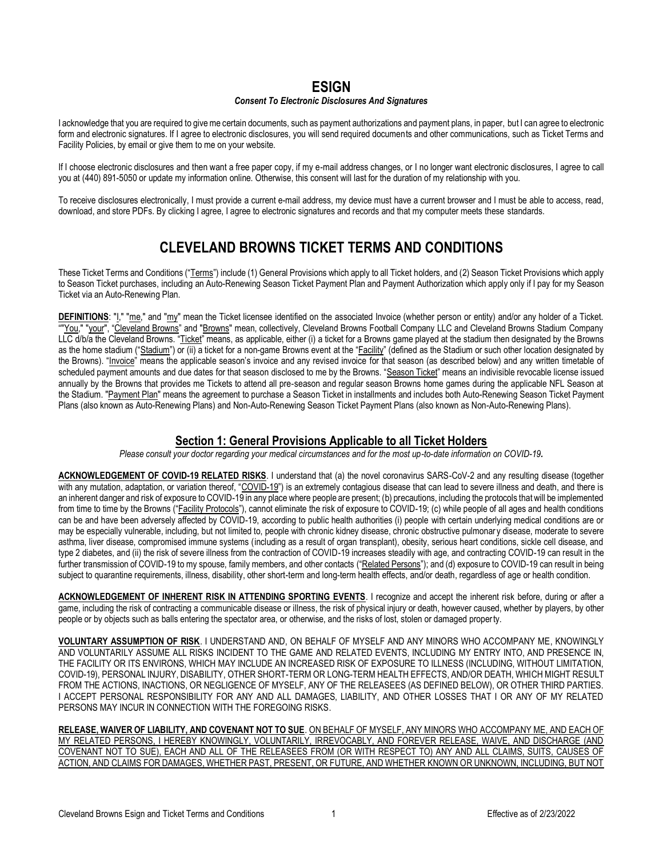### **ESIGN**

#### *Consent To Electronic Disclosures And Signatures*

I acknowledge that you are required to give me certain documents, such as payment authorizations and payment plans, in paper, but I can agree to electronic form and electronic signatures. If I agree to electronic disclosures, you will send required documents and other communications, such as Ticket Terms and Facility Policies, by email or give them to me on your website.

If I choose electronic disclosures and then want a free paper copy, if my e-mail address changes, or I no longer want electronic disclosures, I agree to call you at (440) 891-5050 or update my information online. Otherwise, this consent will last for the duration of my relationship with you.

To receive disclosures electronically, I must provide a current e-mail address, my device must have a current browser and I must be able to access, read, download, and store PDFs. By clicking I agree, I agree to electronic signatures and records and that my computer meets these standards.

# **CLEVELAND BROWNS TICKET TERMS AND CONDITIONS**

These Ticket Terms and Conditions ("Terms") include (1) General Provisions which apply to all Ticket holders, and (2) Season Ticket Provisions which apply to Season Ticket purchases, including an Auto-Renewing Season Ticket Payment Plan and Payment Authorization which apply only if I pay for my Season Ticket via an Auto-Renewing Plan.

**DEFINITIONS**: "I," "me," and "my" mean the Ticket licensee identified on the associated Invoice (whether person or entity) and/or any holder of a Ticket. ""You," "your", "Cleveland Browns" and "Browns" mean, collectively, Cleveland Browns Football Company LLC and Cleveland Browns Stadium Company LLC d/b/a the Cleveland Browns. "Ticket" means, as applicable, either (i) a ticket for a Browns game played at the stadium then designated by the Browns as the home stadium ("Stadium") or (ii) a ticket for a non-game Browns event at the "Facility" (defined as the Stadium or such other location designated by the Browns). "Invoice" means the applicable season's invoice and any revised invoice for that season (as described below) and any written timetable of scheduled payment amounts and due dates for that season disclosed to me by the Browns. "Season Ticket" means an indivisible revocable license issued annually by the Browns that provides me Tickets to attend all pre‐season and regular season Browns home games during the applicable NFL Season at the Stadium. "Payment Plan" means the agreement to purchase a Season Ticket in installments and includes both Auto-Renewing Season Ticket Payment Plans (also known as Auto-Renewing Plans) and Non-Auto-Renewing Season Ticket Payment Plans (also known as Non-Auto-Renewing Plans).

#### **Section 1: General Provisions Applicable to all Ticket Holders**

*Please consult your doctor regarding your medical circumstances and for the most up-to-date information on COVID-19.*

**ACKNOWLEDGEMENT OF COVID-19 RELATED RISKS**. I understand that (a) the novel coronavirus SARS-CoV-2 and any resulting disease (together with any mutation, adaptation, or variation thereof, "COVID-19") is an extremely contagious disease that can lead to severe illness and death, and there is an inherent danger and risk of exposure to COVID-19 in any place where people are present; (b) precautions, including the protocols that will be implemented from time to time by the Browns ("Facility Protocols"), cannot eliminate the risk of exposure to COVID-19; (c) while people of all ages and health conditions can be and have been adversely affected by COVID-19, according to public health authorities (i) people with certain underlying medical conditions are or may be especially vulnerable, including, but not limited to, people with chronic kidney disease, chronic obstructive pulmonar y disease, moderate to severe asthma, liver disease, compromised immune systems (including as a result of organ transplant), obesity, serious heart conditions, sickle cell disease, and type 2 diabetes, and (ii) the risk of severe illness from the contraction of COVID-19 increases steadily with age, and contracting COVID-19 can result in the further transmission of COVID-19 to my spouse, family members, and other contacts ("Related Persons"); and (d) exposure to COVID-19 can result in being subject to quarantine requirements, illness, disability, other short-term and long-term health effects, and/or death, regardless of age or health condition.

**ACKNOWLEDGEMENT OF INHERENT RISK IN ATTENDING SPORTING EVENTS**. I recognize and accept the inherent risk before, during or after a game, including the risk of contracting a communicable disease or illness, the risk of physical injury or death, however caused, whether by players, by other people or by objects such as balls entering the spectator area, or otherwise, and the risks of lost, stolen or damaged property.

**VOLUNTARY ASSUMPTION OF RISK**. I UNDERSTAND AND, ON BEHALF OF MYSELF AND ANY MINORS WHO ACCOMPANY ME, KNOWINGLY AND VOLUNTARILY ASSUME ALL RISKS INCIDENT TO THE GAME AND RELATED EVENTS, INCLUDING MY ENTRY INTO, AND PRESENCE IN, THE FACILITY OR ITS ENVIRONS, WHICH MAY INCLUDE AN INCREASED RISK OF EXPOSURE TO ILLNESS (INCLUDING, WITHOUT LIMITATION, COVID-19), PERSONAL INJURY, DISABILITY, OTHER SHORT-TERM OR LONG-TERM HEALTH EFFECTS, AND/OR DEATH, WHICH MIGHT RESULT FROM THE ACTIONS, INACTIONS, OR NEGLIGENCE OF MYSELF, ANY OF THE RELEASEES (AS DEFINED BELOW), OR OTHER THIRD PARTIES. I ACCEPT PERSONAL RESPONSIBILITY FOR ANY AND ALL DAMAGES, LIABILITY, AND OTHER LOSSES THAT I OR ANY OF MY RELATED PERSONS MAY INCUR IN CONNECTION WITH THE FOREGOING RISKS.

**RELEASE, WAIVER OF LIABILITY, AND COVENANT NOT TO SUE**. ON BEHALF OF MYSELF, ANY MINORS WHO ACCOMPANY ME, AND EACH OF MY RELATED PERSONS, I HEREBY KNOWINGLY, VOLUNTARILY, IRREVOCABLY, AND FOREVER RELEASE, WAIVE, AND DISCHARGE (AND COVENANT NOT TO SUE), EACH AND ALL OF THE RELEASEES FROM (OR WITH RESPECT TO) ANY AND ALL CLAIMS, SUITS, CAUSES OF ACTION, AND CLAIMS FOR DAMAGES, WHETHER PAST, PRESENT, OR FUTURE, AND WHETHER KNOWN OR UNKNOWN, INCLUDING, BUT NOT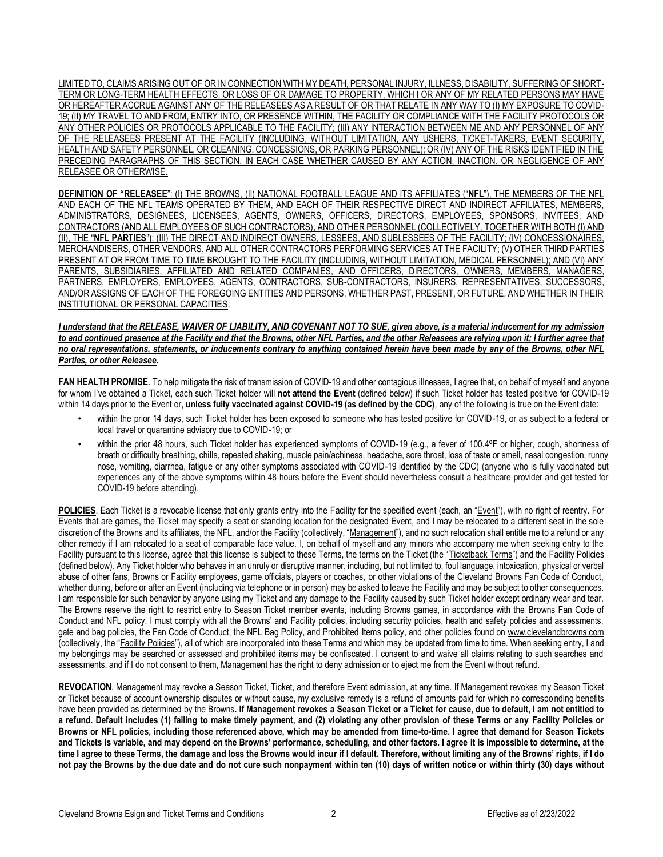LIMITED TO, CLAIMS ARISING OUT OF OR IN CONNECTION WITH MY DEATH, PERSONAL INJURY, ILLNESS, DISABILITY, SUFFERING OF SHORT-TERM OR LONG-TERM HEALTH EFFECTS, OR LOSS OF OR DAMAGE TO PROPERTY, WHICH I OR ANY OF MY RELATED PERSONS MAY HAVE OR HEREAFTER ACCRUE AGAINST ANY OF THE RELEASEES AS A RESULT OF OR THAT RELATE IN ANY WAY TO (I) MY EXPOSURE TO COVID-19; (II) MY TRAVEL TO AND FROM, ENTRY INTO, OR PRESENCE WITHIN, THE FACILITY OR COMPLIANCE WITH THE FACILITY PROTOCOLS OR ANY OTHER POLICIES OR PROTOCOLS APPLICABLE TO THE FACILITY; (III) ANY INTERACTION BETWEEN ME AND ANY PERSONNEL OF ANY OF THE RELEASEES PRESENT AT THE FACILITY (INCLUDING, WITHOUT LIMITATION, ANY USHERS, TICKET-TAKERS, EVENT SECURITY, HEALTH AND SAFETY PERSONNEL, OR CLEANING, CONCESSIONS, OR PARKING PERSONNEL); OR (IV) ANY OF THE RISKS IDENTIFIED IN THE PRECEDING PARAGRAPHS OF THIS SECTION, IN EACH CASE WHETHER CAUSED BY ANY ACTION, INACTION, OR NEGLIGENCE OF ANY RELEASEE OR OTHERWISE.

**DEFINITION OF "RELEASEE**": (I) THE BROWNS, (II) NATIONAL FOOTBALL LEAGUE AND ITS AFFILIATES ("**NFL**"), THE MEMBERS OF THE NFL AND EACH OF THE NFL TEAMS OPERATED BY THEM, AND EACH OF THEIR RESPECTIVE DIRECT AND INDIRECT AFFILIATES, MEMBERS, ADMINISTRATORS, DESIGNEES, LICENSEES, AGENTS, OWNERS, OFFICERS, DIRECTORS, EMPLOYEES, SPONSORS, INVITEES, AND CONTRACTORS (AND ALL EMPLOYEES OF SUCH CONTRACTORS), AND OTHER PERSONNEL (COLLECTIVELY, TOGETHER WITH BOTH (I) AND (II), THE "**NFL PARTIES**"); (III) THE DIRECT AND INDIRECT OWNERS, LESSEES, AND SUBLESSEES OF THE FACILITY; (IV) CONCESSIONAIRES, MERCHANDISERS, OTHER VENDORS, AND ALL OTHER CONTRACTORS PERFORMING SERVICES AT THE FACILITY; (V) OTHER THIRD PARTIES PRESENT AT OR FROM TIME TO TIME BROUGHT TO THE FACILITY (INCLUDING, WITHOUT LIMITATION, MEDICAL PERSONNEL); AND (VI) ANY PARENTS, SUBSIDIARIES, AFFILIATED AND RELATED COMPANIES, AND OFFICERS, DIRECTORS, OWNERS, MEMBERS, MANAGERS, PARTNERS, EMPLOYERS, EMPLOYEES, AGENTS, CONTRACTORS, SUB-CONTRACTORS, INSURERS, REPRESENTATIVES, SUCCESSORS, AND/OR ASSIGNS OF EACH OF THE FOREGOING ENTITIES AND PERSONS, WHETHER PAST, PRESENT, OR FUTURE, AND WHETHER IN THEIR INSTITUTIONAL OR PERSONAL CAPACITIES.

#### *I understand that the RELEASE, WAIVER OF LIABILITY, AND COVENANT NOT TO SUE, given above, is a material inducement for my admission to and continued presence at the Facility and that the Browns, other NFL Parties, and the other Releasees are relying upon it; I further agree that no oral representations, statements, or inducements contrary to anything contained herein have been made by any of the Browns, other NFL Parties, or other Releasee***.**

**FAN HEALTH PROMISE**. To help mitigate the risk of transmission of COVID-19 and other contagious illnesses, I agree that, on behalf of myself and anyone for whom I've obtained a Ticket, each such Ticket holder will **not attend the Event** (defined below) if such Ticket holder has tested positive for COVID-19 within 14 days prior to the Event or, **unless fully vaccinated against COVID-19 (as defined by the CDC)**, any of the following is true on the Event date:

- within the prior 14 days, such Ticket holder has been exposed to someone who has tested positive for COVID-19, or as subject to a federal or local travel or quarantine advisory due to COVID-19; or
- within the prior 48 hours, such Ticket holder has experienced symptoms of COVID-19 (e.g., a fever of 100.4°F or higher, cough, shortness of breath or difficulty breathing, chills, repeated shaking, muscle pain/achiness, headache, sore throat, loss of taste or smell, nasal congestion, runny nose, vomiting, diarrhea, fatigue or any other symptoms associated with COVID-19 identified by the CDC) (anyone who is fully vaccinated but experiences any of the above symptoms within 48 hours before the Event should nevertheless consult a healthcare provider and get tested for COVID-19 before attending).

POLICIES. Each Ticket is a revocable license that only grants entry into the Facility for the specified event (each, an "Event"), with no right of reentry. For Events that are games, the Ticket may specify a seat or standing location for the designated Event, and I may be relocated to a different seat in the sole discretion of the Browns and its affiliates, the NFL, and/or the Facility (collectively, "Management"), and no such relocation shall entitle me to a refund or any other remedy if I am relocated to a seat of comparable face value. I, on behalf of myself and any minors who accompany me when seeking entry to the Facility pursuant to this license, agree that this license is subject to these Terms, the terms on the Ticket (the "Ticketback Terms") and the Facility Policies (defined below). Any Ticket holder who behaves in an unruly or disruptive manner, including, but not limited to, foul language, intoxication, physical or verbal abuse of other fans, Browns or Facility employees, game officials, players or coaches, or other violations of the Cleveland Browns Fan Code of Conduct, whether during, before or after an Event (including via telephone or in person) may be asked to leave the Facility and may be subject to other consequences. I am responsible for such behavior by anyone using my Ticket and any damage to the Facility caused by such Ticket holder except ordinary wear and tear. The Browns reserve the right to restrict entry to Season Ticket member events, including Browns games, in accordance with the Browns Fan Code of Conduct and NFL policy. I must comply with all the Browns' and Facility policies, including security policies, health and safety policies and assessments, gate and bag policies, the Fan Code of Conduct, the NFL Bag Policy, and Prohibited Items policy, and other policies found on [www.clevelandbrowns.com](http://www.clevelandbrowns.com/) (collectively, the "Facility Policies"), all of which are incorporated into these Terms and which may be updated from time to time. When seeking entry, I and my belongings may be searched or assessed and prohibited items may be confiscated. I consent to and waive all claims relating to such searches and assessments, and if I do not consent to them, Management has the right to deny admission or to eject me from the Event without refund.

**REVOCATION**. Management may revoke a Season Ticket, Ticket, and therefore Event admission, at any time. If Management revokes my Season Ticket or Ticket because of account ownership disputes or without cause, my exclusive remedy is a refund of amounts paid for which no corresponding benefits have been provided as determined by the Browns**. If Management revokes a Season Ticket or a Ticket for cause, due to default, I am not entitled to a refund. Default includes (1) failing to make timely payment, and (2) violating any other provision of these Terms or any Facility Policies or Browns or NFL policies, including those referenced above, which may be amended from time-to-time. I agree that demand for Season Tickets and Tickets is variable, and may depend on the Browns' performance, scheduling, and other factors. I agree it is impossible to determine, at the time I agree to these Terms, the damage and loss the Browns would incur if I default. Therefore, without limiting any of the Browns' rights, if I do not pay the Browns by the due date and do not cure such nonpayment within ten (10) days of written notice or within thirty (30) days without**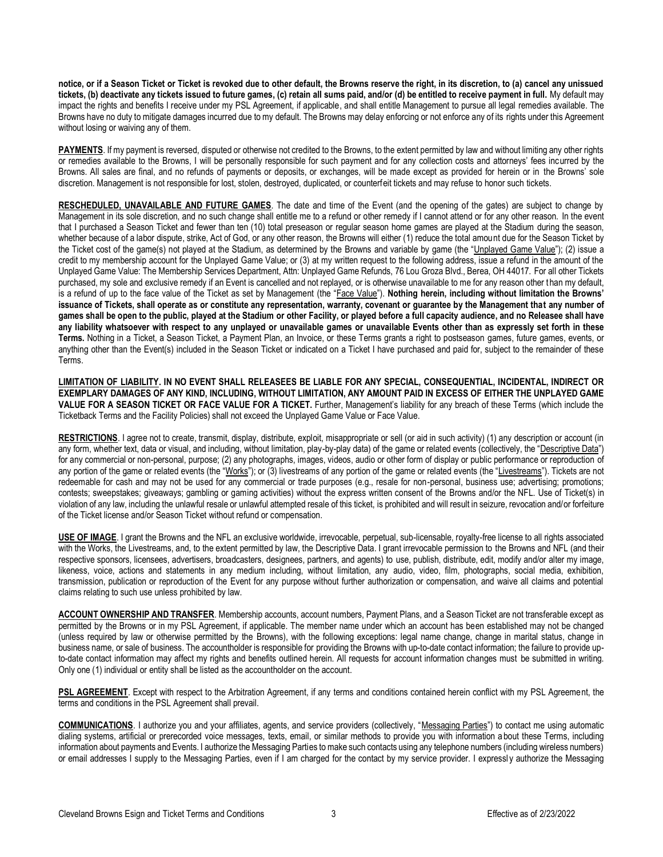**notice, or if a Season Ticket or Ticket is revoked due to other default, the Browns reserve the right, in its discretion, to (a) cancel any unissued tickets, (b) deactivate any tickets issued to future games, (c) retain all sums paid, and/or (d) be entitled to receive payment in full.** My default may impact the rights and benefits I receive under my PSL Agreement, if applicable, and shall entitle Management to pursue all legal remedies available. The Browns have no duty to mitigate damages incurred due to my default. The Browns may delay enforcing or not enforce any of its rights under this Agreement without losing or waiving any of them.

**PAYMENTS**. If my payment is reversed, disputed or otherwise not credited to the Browns, to the extent permitted by law and without limiting any other rights or remedies available to the Browns, I will be personally responsible for such payment and for any collection costs and attorneys' fees incurred by the Browns. All sales are final, and no refunds of payments or deposits, or exchanges, will be made except as provided for herein or in the Browns' sole discretion. Management is not responsible for lost, stolen, destroyed, duplicated, or counterfeit tickets and may refuse to honor such tickets.

**RESCHEDULED, UNAVAILABLE AND FUTURE GAMES**. The date and time of the Event (and the opening of the gates) are subject to change by Management in its sole discretion, and no such change shall entitle me to a refund or other remedy if I cannot attend or for any other reason. In the event that I purchased a Season Ticket and fewer than ten (10) total preseason or regular season home games are played at the Stadium during the season, whether because of a labor dispute, strike, Act of God, or any other reason, the Browns will either (1) reduce the total amount due for the Season Ticket by the Ticket cost of the game(s) not played at the Stadium, as determined by the Browns and variable by game (the "Unplayed Game Value"); (2) issue a credit to my membership account for the Unplayed Game Value; or (3) at my written request to the following address, issue a refund in the amount of the Unplayed Game Value: The Membership Services Department, Attn: Unplayed Game Refunds, 76 Lou Groza Blvd., Berea, OH 44017. For all other Tickets purchased, my sole and exclusive remedy if an Event is cancelled and not replayed, or is otherwise unavailable to me for any reason other than my default, is a refund of up to the face value of the Ticket as set by Management (the "Face Value"). **Nothing herein, including without limitation the Browns' issuance of Tickets, shall operate as or constitute any representation, warranty, covenant or guarantee by the Management that any number of games shall be open to the public, played at the Stadium or other Facility, or played before a full capacity audience, and no Releasee shall have any liability whatsoever with respect to any unplayed or unavailable games or unavailable Events other than as expressly set forth in these Terms.** Nothing in a Ticket, a Season Ticket, a Payment Plan, an Invoice, or these Terms grants a right to postseason games, future games, events, or anything other than the Event(s) included in the Season Ticket or indicated on a Ticket I have purchased and paid for, subject to the remainder of these Terms.

**LIMITATION OF LIABILITY. IN NO EVENT SHALL RELEASEES BE LIABLE FOR ANY SPECIAL, CONSEQUENTIAL, INCIDENTAL, INDIRECT OR EXEMPLARY DAMAGES OF ANY KIND, INCLUDING, WITHOUT LIMITATION, ANY AMOUNT PAID IN EXCESS OF EITHER THE UNPLAYED GAME VALUE FOR A SEASON TICKET OR FACE VALUE FOR A TICKET.** Further, Management's liability for any breach of these Terms (which include the Ticketback Terms and the Facility Policies) shall not exceed the Unplayed Game Value or Face Value.

**RESTRICTIONS**. I agree not to create, transmit, display, distribute, exploit, misappropriate or sell (or aid in such activity) (1) any description or account (in any form, whether text, data or visual, and including, without limitation, play-by-play data) of the game or related events (collectively, the "Descriptive Data") for any commercial or non-personal, purpose; (2) any photographs, images, videos, audio or other form of display or public performance or reproduction of any portion of the game or related events (the "Works"); or (3) livestreams of any portion of the game or related events (the "Livestreams"). Tickets are not redeemable for cash and may not be used for any commercial or trade purposes (e.g., resale for non-personal, business use; advertising; promotions; contests; sweepstakes; giveaways; gambling or gaming activities) without the express written consent of the Browns and/or the NFL. Use of Ticket(s) in violation of any law, including the unlawful resale or unlawful attempted resale of this ticket, is prohibited and will result in seizure, revocation and/or forfeiture of the Ticket license and/or Season Ticket without refund or compensation.

**USE OF IMAGE**. I grant the Browns and the NFL an exclusive worldwide, irrevocable, perpetual, sub-licensable, royalty-free license to all rights associated with the Works, the Livestreams, and, to the extent permitted by law, the Descriptive Data. I grant irrevocable permission to the Browns and NFL (and their respective sponsors, licensees, advertisers, broadcasters, designees, partners, and agents) to use, publish, distribute, edit, modify and/or alter my image, likeness, voice, actions and statements in any medium including, without limitation, any audio, video, film, photographs, social media, exhibition, transmission, publication or reproduction of the Event for any purpose without further authorization or compensation, and waive all claims and potential claims relating to such use unless prohibited by law.

ACCOUNT OWNERSHIP AND TRANSFER. Membership accounts, account numbers, Payment Plans, and a Season Ticket are not transferable except as permitted by the Browns or in my PSL Agreement, if applicable. The member name under which an account has been established may not be changed (unless required by law or otherwise permitted by the Browns), with the following exceptions: legal name change, change in marital status, change in business name, or sale of business. The accountholder is responsible for providing the Browns with up-to-date contact information; the failure to provide upto-date contact information may affect my rights and benefits outlined herein. All requests for account information changes must be submitted in writing. Only one (1) individual or entity shall be listed as the accountholder on the account.

**PSL AGREEMENT**. Except with respect to the Arbitration Agreement, if any terms and conditions contained herein conflict with my PSL Agreement, the terms and conditions in the PSL Agreement shall prevail.

**COMMUNICATIONS**. I authorize you and your affiliates, agents, and service providers (collectively, "Messaging Parties") to contact me using automatic dialing systems, artificial or prerecorded voice messages, texts, email, or similar methods to provide you with information a bout these Terms, including information about payments and Events. I authorize the Messaging Parties to make such contacts using any telephone numbers (including wireless numbers) or email addresses I supply to the Messaging Parties, even if I am charged for the contact by my service provider. I expressl y authorize the Messaging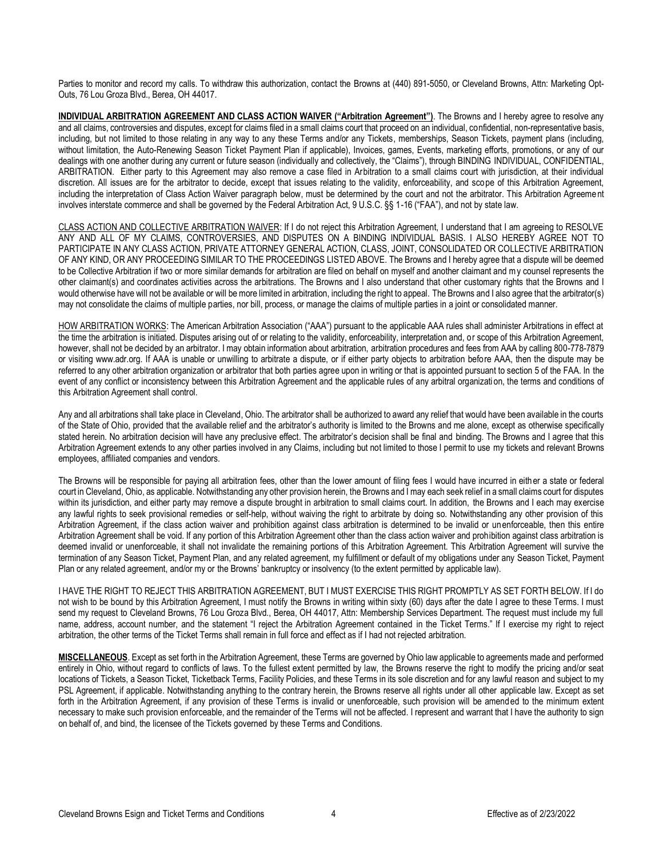Parties to monitor and record my calls. To withdraw this authorization, contact the Browns at (440) 891-5050, or Cleveland Browns, Attn: Marketing Opt-Outs, 76 Lou Groza Blvd., Berea, OH 44017.

**INDIVIDUAL ARBITRATION AGREEMENT AND CLASS ACTION WAIVER ("Arbitration Agreement")**. The Browns and I hereby agree to resolve any and all claims, controversies and disputes, except for claims filed in a small claims court that proceed on an individual, confidential, non-representative basis, including, but not limited to those relating in any way to any these Terms and/or any Tickets, memberships, Season Tickets, payment plans (including, without limitation, the Auto-Renewing Season Ticket Payment Plan if applicable), Invoices, games, Events, marketing efforts, promotions, or any of our dealings with one another during any current or future season (individually and collectively, the "Claims"), through BINDING INDIVIDUAL, CONFIDENTIAL, ARBITRATION. Either party to this Agreement may also remove a case filed in Arbitration to a small claims court with jurisdiction, at their individual discretion. All issues are for the arbitrator to decide, except that issues relating to the validity, enforceability, and scope of this Arbitration Agreement, including the interpretation of Class Action Waiver paragraph below, must be determined by the court and not the arbitrator. This Arbitration Agreeme nt involves interstate commerce and shall be governed by the Federal Arbitration Act, 9 U.S.C. §§ 1-16 ("FAA"), and not by state law.

CLASS ACTION AND COLLECTIVE ARBITRATION WAIVER: If I do not reject this Arbitration Agreement, I understand that I am agreeing to RESOLVE ANY AND ALL OF MY CLAIMS, CONTROVERSIES, AND DISPUTES ON A BINDING INDIVIDUAL BASIS. I ALSO HEREBY AGREE NOT TO PARTICIPATE IN ANY CLASS ACTION, PRIVATE ATTORNEY GENERAL ACTION, CLASS, JOINT, CONSOLIDATED OR COLLECTIVE ARBITRATION OF ANY KIND, OR ANY PROCEEDING SIMILAR TO THE PROCEEDINGS LISTED ABOVE. The Browns and I hereby agree that a dispute will be deemed to be Collective Arbitration if two or more similar demands for arbitration are filed on behalf on myself and another claimant and my counsel represents the other claimant(s) and coordinates activities across the arbitrations. The Browns and I also understand that other customary rights that the Browns and I would otherwise have will not be available or will be more limited in arbitration, including the right to appeal. The Browns and I also agree that the arbitrator(s) may not consolidate the claims of multiple parties, nor bill, process, or manage the claims of multiple parties in a joint or consolidated manner.

HOW ARBITRATION WORKS: The American Arbitration Association ("AAA") pursuant to the applicable AAA rules shall administer Arbitrations in effect at the time the arbitration is initiated. Disputes arising out of or relating to the validity, enforceability, interpretation and, or scope of this Arbitration Agreement, however, shall not be decided by an arbitrator. I may obtain information about arbitration, arbitration procedures and fees from AAA by calling 800-778-7879 or visiting www.adr.org. If AAA is unable or unwilling to arbitrate a dispute, or if either party objects to arbitration before AAA, then the dispute may be referred to any other arbitration organization or arbitrator that both parties agree upon in writing or that is appointed pursuant to section 5 of the FAA. In the event of any conflict or inconsistency between this Arbitration Agreement and the applicable rules of any arbitral organizati on, the terms and conditions of this Arbitration Agreement shall control.

Any and all arbitrations shall take place in Cleveland, Ohio. The arbitrator shall be authorized to award any relief that would have been available in the courts of the State of Ohio, provided that the available relief and the arbitrator's authority is limited to the Browns and me alone, except as otherwise specifically stated herein. No arbitration decision will have any preclusive effect. The arbitrator's decision shall be final and binding. The Browns and I agree that this Arbitration Agreement extends to any other parties involved in any Claims, including but not limited to those I permit to use my tickets and relevant Browns employees, affiliated companies and vendors.

The Browns will be responsible for paying all arbitration fees, other than the lower amount of filing fees I would have incurred in either a state or federal court in Cleveland, Ohio, as applicable. Notwithstanding any other provision herein, the Browns and I may each seek relief in a small claims court for disputes within its jurisdiction, and either party may remove a dispute brought in arbitration to small claims court. In addition, the Browns and I each may exercise any lawful rights to seek provisional remedies or self-help, without waiving the right to arbitrate by doing so. Notwithstanding any other provision of this Arbitration Agreement, if the class action waiver and prohibition against class arbitration is determined to be invalid or unenforceable, then this entire Arbitration Agreement shall be void. If any portion of this Arbitration Agreement other than the class action waiver and prohibition against class arbitration is deemed invalid or unenforceable, it shall not invalidate the remaining portions of this Arbitration Agreement. This Arbitration Agreement will survive the termination of any Season Ticket, Payment Plan, and any related agreement, my fulfillment or default of my obligations under any Season Ticket, Payment Plan or any related agreement, and/or my or the Browns' bankruptcy or insolvency (to the extent permitted by applicable law).

I HAVE THE RIGHT TO REJECT THIS ARBITRATION AGREEMENT, BUT I MUST EXERCISE THIS RIGHT PROMPTLY AS SET FORTH BELOW. If I do not wish to be bound by this Arbitration Agreement, I must notify the Browns in writing within sixty (60) days after the date I agree to these Terms. I must send my request to Cleveland Browns, 76 Lou Groza Blvd., Berea, OH 44017, Attn: Membership Services Department. The request must include my full name, address, account number, and the statement "I reject the Arbitration Agreement contained in the Ticket Terms." If I exercise my right to reject arbitration, the other terms of the Ticket Terms shall remain in full force and effect as if I had not rejected arbitration.

**MISCELLANEOUS**. Except as set forth in the Arbitration Agreement, these Terms are governed by Ohio law applicable to agreements made and performed entirely in Ohio, without regard to conflicts of laws. To the fullest extent permitted by law, the Browns reserve the right to modify the pricing and/or seat locations of Tickets, a Season Ticket, Ticketback Terms, Facility Policies, and these Terms in its sole discretion and for any lawful reason and subject to my PSL Agreement, if applicable. Notwithstanding anything to the contrary herein, the Browns reserve all rights under all other applicable law. Except as set forth in the Arbitration Agreement, if any provision of these Terms is invalid or unenforceable, such provision will be amended to the minimum extent necessary to make such provision enforceable, and the remainder of the Terms will not be affected. I represent and warrant that I have the authority to sign on behalf of, and bind, the licensee of the Tickets governed by these Terms and Conditions.